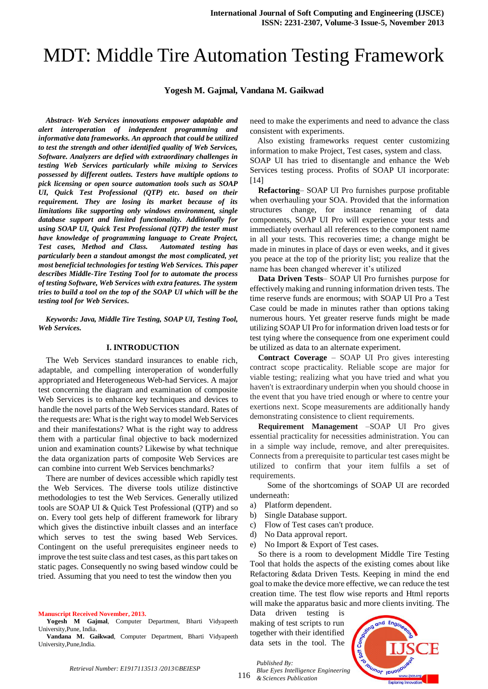# MDT: Middle Tire Automation Testing Framework

**Yogesh M. Gajmal, Vandana M. Gaikwad**

*Abstract- Web Services innovations empower adaptable and alert interoperation of independent programming and informative data frameworks. An approach that could be utilized to test the strength and other identified quality of Web Services, Software. Analyzers are defied with extraordinary challenges in testing Web Services particularly while mixing to Services possessed by different outlets. Testers have multiple options to pick licensing or open source automation tools such as SOAP UI, Quick Test Professional (QTP) etc. based on their requirement. They are losing its market because of its limitations like supporting only windows environment, single database support and limited functionality. Additionally for using SOAP UI, Quick Test Professional (QTP) the tester must have knowledge of programming language to Create Project, Test cases, Method and Class. Automated testing has particularly been a standout amongst the most complicated, yet most beneficial technologies for testing Web Services. This paper describes Middle-Tire Testing Tool for to automate the process of testing Software, Web Services with extra features. The system tries to build a tool on the top of the SOAP UI which will be the testing tool for Web Services.*

*Keywords: Java, Middle Tire Testing, SOAP UI, Testing Tool, Web Services.*

## **I. INTRODUCTION**

The Web Services standard insurances to enable rich, adaptable, and compelling interoperation of wonderfully appropriated and Heterogeneous Web-had Services. A major test concerning the diagram and examination of composite Web Services is to enhance key techniques and devices to handle the novel parts of the Web Services standard. Rates of the requests are: What is the right way to model Web Services and their manifestations? What is the right way to address them with a particular final objective to back modernized union and examination counts? Likewise by what technique the data organization parts of composite Web Services are can combine into current Web Services benchmarks?

There are number of devices accessible which rapidly test the Web Services. The diverse tools utilize distinctive methodologies to test the Web Services. Generally utilized tools are SOAP UI & Quick Test Professional (QTP) and so on. Every tool gets help of different framework for library which gives the distinctive inbuilt classes and an interface which serves to test the swing based Web Services. Contingent on the useful prerequisites engineer needs to improve the test suite class and test cases, as this part takes on static pages. Consequently no swing based window could be tried. Assuming that you need to test the window then you

**Manuscript Received November, 2013.**

**Yogesh M Gajmal**, Computer Department, Bharti Vidyapeeth University,Pune, India.

**Vandana M. Gaikwad**, Computer Department, Bharti Vidyapeeth University,Pune,India.

need to make the experiments and need to advance the class consistent with experiments.

Also existing frameworks request center customizing information to make Project, Test cases, system and class. SOAP UI has tried to disentangle and enhance the Web Services testing process. Profits of SOAP UI incorporate: [14]

**Refactoring**– SOAP UI Pro furnishes purpose profitable when overhauling your SOA. Provided that the information structures change, for instance renaming of data components, SOAP UI Pro will experience your tests and immediately overhaul all references to the component name in all your tests. This recoveries time; a change might be made in minutes in place of days or even weeks, and it gives you peace at the top of the priority list; you realize that the name has been changed wherever it's utilized

**Data Driven Tests**– SOAP UI Pro furnishes purpose for effectively making and running information driven tests. The time reserve funds are enormous; with SOAP UI Pro a Test Case could be made in minutes rather than options taking numerous hours. Yet greater reserve funds might be made utilizing SOAP UI Pro for information driven load tests or for test tying where the consequence from one experiment could be utilized as data to an alternate experiment.

**Contract Coverage** – SOAP UI Pro gives interesting contract scope practicality. Reliable scope are major for viable testing; realizing what you have tried and what you haven't is extraordinary underpin when you should choose in the event that you have tried enough or where to centre your exertions next. Scope measurements are additionally handy demonstrating consistence to client requirements.

**Requirement Management** –SOAP UI Pro gives essential practicality for necessities administration. You can in a simple way include, remove, and alter prerequisites. Connects from a prerequisite to particular test cases might be utilized to confirm that your item fulfils a set of requirements.

Some of the shortcomings of SOAP UI are recorded underneath:

- a) Platform dependent.
- b) Single Database support.
- c) Flow of Test cases can't produce.
- d) No Data approval report.
- e) No Import & Export of Test cases.

So there is a room to development Middle Tire Testing Tool that holds the aspects of the existing comes about like Refactoring &data Driven Tests. Keeping in mind the end goal to make the device more effective, we can reduce the test creation time. The test flow wise reports and Html reports will make the apparatus basic and more clients inviting. The

Data driven testing is making of test scripts to run together with their identified data sets in the tool. The

unor long Exploring Innoval

*Retrieval Number: E1917113513 /2013©BEIESP*

*Published By:*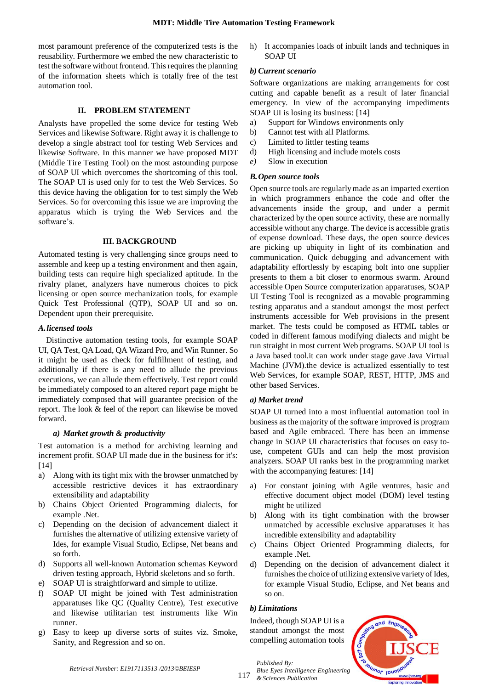## **MDT: Middle Tire Automation Testing Framework**

most paramount preference of the computerized tests is the reusability. Furthermore we embed the new characteristic to test the software without frontend. This requires the planning of the information sheets which is totally free of the test automation tool.

## **II. PROBLEM STATEMENT**

Analysts have propelled the some device for testing Web Services and likewise Software. Right away it is challenge to develop a single abstract tool for testing Web Services and likewise Software. In this manner we have proposed MDT (Middle Tire Testing Tool) on the most astounding purpose of SOAP UI which overcomes the shortcoming of this tool. The SOAP UI is used only for to test the Web Services. So this device having the obligation for to test simply the Web Services. So for overcoming this issue we are improving the apparatus which is trying the Web Services and the software's.

#### **III. BACKGROUND**

Automated testing is very challenging since groups need to assemble and keep up a testing environment and then again, building tests can require high specialized aptitude. In the rivalry planet, analyzers have numerous choices to pick licensing or open source mechanization tools, for example Quick Test Professional (QTP), SOAP UI and so on. Dependent upon their prerequisite.

#### *A.licensed tools*

Distinctive automation testing tools, for example SOAP UI, QA Test, QA Load, QA Wizard Pro, and Win Runner. So it might be used as check for fulfillment of testing, and additionally if there is any need to allude the previous executions, we can allude them effectively. Test report could be immediately composed to an altered report page might be immediately composed that will guarantee precision of the report. The look & feel of the report can likewise be moved forward.

#### *a) Market growth & productivity*

Test automation is a method for archiving learning and increment profit. SOAP UI made due in the business for it's: [14]

- a) Along with its tight mix with the browser unmatched by accessible restrictive devices it has extraordinary extensibility and adaptability
- b) Chains Object Oriented Programming dialects, for example .Net.
- c) Depending on the decision of advancement dialect it furnishes the alternative of utilizing extensive variety of Ides, for example Visual Studio, Eclipse, Net beans and so forth.
- d) Supports all well-known Automation schemas Keyword driven testing approach, Hybrid skeletons and so forth.
- e) SOAP UI is straightforward and simple to utilize.
- f) SOAP UI might be joined with Test administration apparatuses like QC (Quality Centre), Test executive and likewise utilitarian test instruments like Win runner.
- g) Easy to keep up diverse sorts of suites viz. Smoke, Sanity, and Regression and so on.

h) It accompanies loads of inbuilt lands and techniques in SOAP UI

## *b) Current scenario*

Software organizations are making arrangements for cost cutting and capable benefit as a result of later financial emergency. In view of the accompanying impediments SOAP UI is losing its business: [14]

- a) Support for Windows environments only
- b) Cannot test with all Platforms.
- c) Limited to littler testing teams
- d) High licensing and include motels costs
- *e)* Slow in execution

## *B.Open source tools*

Open source tools are regularly made as an imparted exertion in which programmers enhance the code and offer the advancements inside the group, and under a permit characterized by the open source activity, these are normally accessible without any charge. The device is accessible gratis of expense download. These days, the open source devices are picking up ubiquity in light of its combination and communication. Quick debugging and advancement with adaptability effortlessly by escaping bolt into one supplier presents to them a bit closer to enormous swarm. Around accessible Open Source computerization apparatuses, SOAP UI Testing Tool is recognized as a movable programming testing apparatus and a standout amongst the most perfect instruments accessible for Web provisions in the present market. The tests could be composed as HTML tables or coded in different famous modifying dialects and might be run straight in most current Web programs. SOAP UI tool is a Java based tool.it can work under stage gave Java Virtual Machine (JVM).the device is actualized essentially to test Web Services, for example SOAP, REST, HTTP, JMS and other based Services.

## *a) Market trend*

SOAP UI turned into a most influential automation tool in business as the majority of the software improved is program based and Agile embraced. There has been an immense change in SOAP UI characteristics that focuses on easy touse, competent GUIs and can help the most provision analyzers. SOAP UI ranks best in the programming market with the accompanying features: [14]

- a) For constant joining with Agile ventures, basic and effective document object model (DOM) level testing might be utilized
- b) Along with its tight combination with the browser unmatched by accessible exclusive apparatuses it has incredible extensibility and adaptability
- c) Chains Object Oriented Programming dialects, for example .Net.
- d) Depending on the decision of advancement dialect it furnishes the choice of utilizing extensive variety of Ides, for example Visual Studio, Eclipse, and Net beans and so on.

#### *b) Limitations*

*Published By:*

Indeed, though SOAP UI is a standout amongst the most compelling automation tools



117 *& Sciences Publication*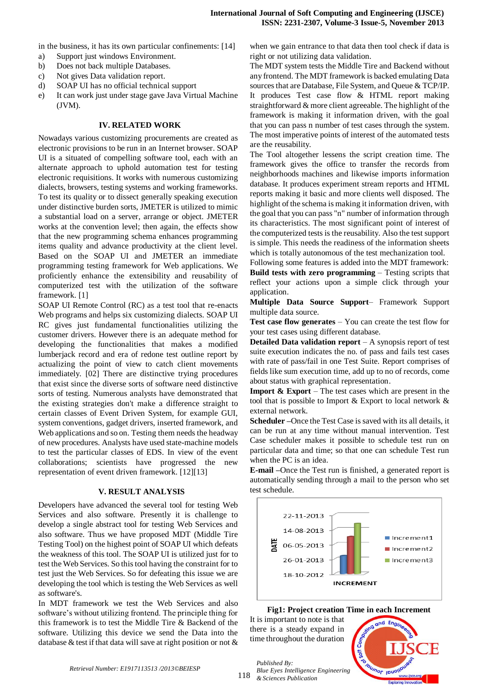in the business, it has its own particular confinements: [14]

- a) Support just windows Environment.
- b) Does not back multiple Databases.
- c) Not gives Data validation report.
- d) SOAP UI has no official technical support
- e) It can work just under stage gave Java Virtual Machine (JVM).

## **IV. RELATED WORK**

Nowadays various customizing procurements are created as electronic provisions to be run in an Internet browser. SOAP UI is a situated of compelling software tool, each with an alternate approach to uphold automation test for testing electronic requisitions. It works with numerous customizing dialects, browsers, testing systems and working frameworks. To test its quality or to dissect generally speaking execution under distinctive burden sorts, JMETER is utilized to mimic a substantial load on a server, arrange or object. JMETER works at the convention level; then again, the effects show that the new programming schema enhances programming items quality and advance productivity at the client level. Based on the SOAP UI and JMETER an immediate programming testing framework for Web applications. We proficiently enhance the extensibility and reusability of computerized test with the utilization of the software framework. [1]

SOAP UI Remote Control (RC) as a test tool that re-enacts Web programs and helps six customizing dialects. SOAP UI RC gives just fundamental functionalities utilizing the customer drivers. However there is an adequate method for developing the functionalities that makes a modified lumberjack record and era of redone test outline report by actualizing the point of view to catch client movements immediately. [02] There are distinctive trying procedures that exist since the diverse sorts of software need distinctive sorts of testing. Numerous analysts have demonstrated that the existing strategies don't make a difference straight to certain classes of Event Driven System, for example GUI, system conventions, gadget drivers, inserted framework, and Web applications and so on. Testing them needs the headway of new procedures. Analysts have used state-machine models to test the particular classes of EDS. In view of the event collaborations; scientists have progressed the new representation of event driven framework. [12][13]

#### **V. RESULT ANALYSIS**

Developers have advanced the several tool for testing Web Services and also software. Presently it is challenge to develop a single abstract tool for testing Web Services and also software. Thus we have proposed MDT (Middle Tire Testing Tool) on the highest point of SOAP UI which defeats the weakness of this tool. The SOAP UI is utilized just for to test the Web Services. So this tool having the constraint for to test just the Web Services. So for defeating this issue we are developing the tool which is testing the Web Services as well as software's.

In MDT framework we test the Web Services and also software's without utilizing frontend. The principle thing for this framework is to test the Middle Tire & Backend of the software. Utilizing this device we send the Data into the database & test if that data will save at right position or not & when we gain entrance to that data then tool check if data is right or not utilizing data validation.

The MDT system tests the Middle Tire and Backend without any frontend. The MDT framework is backed emulating Data sources that are Database, File System, and Queue & TCP/IP. It produces Test case flow & HTML report making straightforward & more client agreeable. The highlight of the framework is making it information driven, with the goal that you can pass n number of test cases through the system. The most imperative points of interest of the automated tests are the reusability.

The Tool altogether lessens the script creation time. The framework gives the office to transfer the records from neighborhoods machines and likewise imports information database. It produces experiment stream reports and HTML reports making it basic and more clients well disposed. The highlight of the schema is making it information driven, with the goal that you can pass "n" number of information through its characteristics. The most significant point of interest of the computerized tests is the reusability. Also the test support is simple. This needs the readiness of the information sheets which is totally autonomous of the test mechanization tool.

Following some features is added into the MDT framework: **Build tests with zero programming** – Testing scripts that reflect your actions upon a simple click through your application.

**Multiple Data Source Support**– Framework Support multiple data source.

**Test case flow generates** – You can create the test flow for your test cases using different database.

**Detailed Data validation report** – A synopsis report of test suite execution indicates the no. of pass and fails test cases with rate of pass/fail in one Test Suite. Report comprises of fields like sum execution time, add up to no of records, come about status with graphical representation.

**Import**  $\&$  **Export** – The test cases which are present in the tool that is possible to Import & Export to local network & external network.

**Scheduler –**Once the Test Case is saved with its all details, it can be run at any time without manual intervention. Test Case scheduler makes it possible to schedule test run on particular data and time; so that one can schedule Test run when the PC is an idea.

**E-mail –**Once the Test run is finished, a generated report is automatically sending through a mail to the person who set test schedule.



 **Fig1: Project creation Time in each Increment**

It is important to note is that there is a steady expand in time throughout the duration

*Published By:*



118 *& Sciences Publication*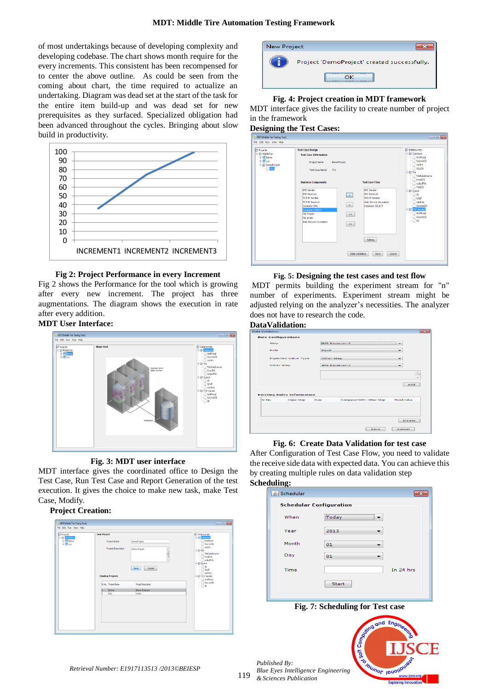of most undertakings because of developing complexity and developing codebase. The chart shows month require for the every increments. This consistent has been recompensed for to center the above outline. As could be seen from the coming about chart, the time required to actualize an undertaking. Diagram was dead set at the start of the task for the entire item build-up and was dead set for new prerequisites as they surfaced. Specialized obligation had been advanced throughout the cycles. Bringing about slow build in productivity.



#### **Fig 2: Project Performance in every Increment**

Fig 2 shows the Performance for the tool which is growing after every new increment. The project has three augmentations. The diagram shows the execution in rate after every addition.

## **MDT User Interface:**



## **Fig. 3: MDT user interface**

MDT interface gives the coordinated office to Design the Test Case, Run Test Case and Report Generation of the test execution. It gives the choice to make new task, make Test Case, Modify.

## **Project Creation:**

| Projects                                           | <b>New Project</b> |                          |                     | <b>Datasources</b><br><b>B</b> Contabase |
|----------------------------------------------------|--------------------|--------------------------|---------------------|------------------------------------------|
| <b>B-CD</b> MiddleTier<br><b>B</b> Demo<br>B & xzc |                    | Project Name             | DemoProject         | testMysgl                                |
|                                                    |                    | Project Description      |                     | SourceDB<br>sachin                       |
|                                                    |                    |                          | Demo Project<br>J   | <b>B-R2 File</b><br>FileDataSource       |
|                                                    |                    |                          |                     | ExcelDS                                  |
|                                                    |                    |                          | ÷                   | outputFile<br><b>B-@ Queue</b>           |
|                                                    |                    |                          | Save<br>Cancel      | d1                                       |
|                                                    |                    |                          |                     | hjhdf<br>saching                         |
|                                                    |                    | <b>Existing Projects</b> |                     | <b>B-82 TCP Sender</b>                   |
|                                                    |                    | Sr.No. Project Name      | Project Description | testNysgl<br>SourceDB<br>__ dd           |
|                                                    |                    | Demo                     | Demo Purpose        |                                          |
|                                                    |                    | xzo                      | xzcxz               |                                          |
|                                                    |                    |                          |                     |                                          |
|                                                    |                    |                          |                     |                                          |
|                                                    |                    |                          |                     |                                          |
|                                                    |                    |                          |                     |                                          |
|                                                    |                    |                          |                     |                                          |



#### **Fig. 4: Project creation in MDT framework**

MDT interface gives the facility to create number of project in the framework

## **Designing the Test Cases:**

| Projects<br><b>B-RD MiddleTier</b><br><b>E M</b> Demo<br><b>B</b> xzc<br>DemoProject<br>$\Box$ | <b>Test Case Design</b><br><b>Test Case Information</b><br>Project Name<br><b>DemoProject</b><br>Test Case Name <sup>1</sup><br>TC1                                                                   |                                                                                                                                                                                                                                                  | Datasources<br><b>E-Imp</b> Database<br>testMysql<br>SourceDB<br>sachin<br>SOLDS<br><b>B-RD File</b>                                                                         |
|------------------------------------------------------------------------------------------------|-------------------------------------------------------------------------------------------------------------------------------------------------------------------------------------------------------|--------------------------------------------------------------------------------------------------------------------------------------------------------------------------------------------------------------------------------------------------|------------------------------------------------------------------------------------------------------------------------------------------------------------------------------|
|                                                                                                | <b>Business Components</b><br><b>IMS Sender</b><br><b>JMS Receiver</b><br>TCP/IP Sender<br>TCP/IP Receiver<br>Database-DML<br>Database-SELECT<br>File Reader<br>File Writer<br>Web Service Invocation | <b>Test Case Flow</b><br><b>JMS Sender</b><br><b>JMS Receiver</b><br>$\vert \cdot \vert$<br>TCP/IP Sender<br>Web Service Invocation<br>$\prec$<br>Database-SELECT<br>$\gg$<br>$\epsilon\epsilon$<br>Setting<br>Data Validation<br>Save<br>Cancel | FileDataSource<br><b>ExcelDS</b><br>outputfile<br>TestDS<br><b>E-ID</b> Queue<br>d1<br>hihdf<br>saching<br>QueuseDS<br><b>E-Re</b> TCP Sender<br>testMysal<br>SourceDB<br>dd |

#### **Fig. 5: Designing the test cases and test flow**

MDT permits building the experiment stream for "n" number of experiments. Experiment stream might be adjusted relying on the analyzer's necessities. The analyzer does not have to research the code.

# **DataValidation:**

| Data Validation                                   |                                   |            |                          |  |                    |
|---------------------------------------------------|-----------------------------------|------------|--------------------------|--|--------------------|
|                                                   | <b>Rule Configurations</b>        |            |                          |  |                    |
| <b>Step</b><br>Rule<br><b>Expected Value Type</b> |                                   |            | UMS Receiver-2           |  |                    |
|                                                   |                                   | Equal      |                          |  | ۰                  |
|                                                   |                                   | Other Step |                          |  | ۰                  |
| Other Step                                        |                                   |            | JMS Receiver-2<br>۰      |  |                    |
|                                                   |                                   |            |                          |  |                    |
|                                                   |                                   |            |                          |  | $\hat{=}$          |
|                                                   |                                   |            |                          |  | -                  |
|                                                   |                                   |            |                          |  | Add                |
|                                                   | <b>Existing Rules Information</b> |            |                          |  |                    |
| Sr.No.                                            | <b>Input Step</b>                 | Rule       | Compared With Other Step |  | <b>Fixed Value</b> |
|                                                   |                                   |            |                          |  | Delete             |

## **Fig. 6: Create Data Validation for test case**

After Configuration of Test Case Flow, you need to validate the receive side data with expected data. You can achieve this by creating multiple rules on data validation step **Scheduling:**

| ---o<br><b>≰</b> Schedular |                                |             |
|----------------------------|--------------------------------|-------------|
|                            | <b>Schedular Configuration</b> |             |
| When                       | Today                          |             |
| Year                       | 2013                           |             |
| Month                      | 01                             |             |
| Day                        | 01                             |             |
| Time                       |                                | In $24$ hrs |
|                            | Start                          |             |
|                            |                                |             |

## **Fig. 7: Scheduling for Test case**

*Published By: Blue Eyes Intelligence Engineering & Sciences Publication* 



*Retrieval Number: E1917113513 /2013©BEIESP*